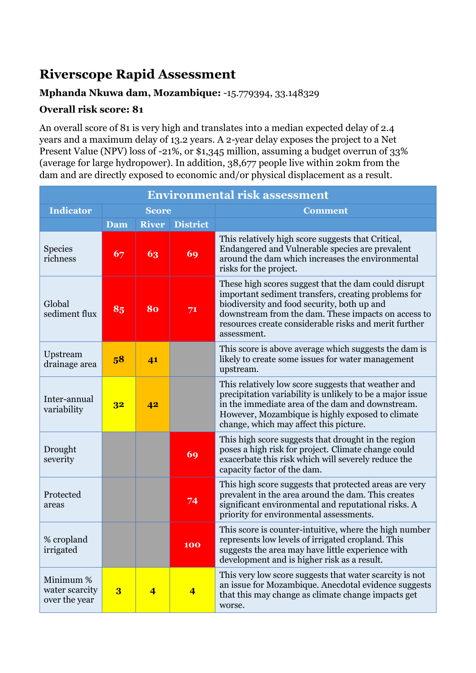## **Riverscope Rapid Assessment**

## **Mphanda Nkuwa dam, Mozambique:** -15.779394, 33.148329

## **Overall risk score: 81**

An overall score of 81 is very high and translates into a median expected delay of 2.4 years and a maximum delay of 13.2 years. A 2-year delay exposes the project to a Net Present Value (NPV) loss of -21%, or \$1,345 million, assuming a budget overrun of 33% (average for large hydropower). In addition, 38,677 people live within 20km from the dam and are directly exposed to economic and/or physical displacement as a result.

| <b>Environmental risk assessment</b>         |                |                |                         |                                                                                                                                                                                                                                                                                           |  |  |
|----------------------------------------------|----------------|----------------|-------------------------|-------------------------------------------------------------------------------------------------------------------------------------------------------------------------------------------------------------------------------------------------------------------------------------------|--|--|
| <b>Indicator</b>                             | <b>Score</b>   |                |                         | <b>Comment</b>                                                                                                                                                                                                                                                                            |  |  |
|                                              | <b>Dam</b>     | <b>River</b>   | <b>District</b>         |                                                                                                                                                                                                                                                                                           |  |  |
| <b>Species</b><br>richness                   | 67             | 63             | 69                      | This relatively high score suggests that Critical,<br>Endangered and Vulnerable species are prevalent<br>around the dam which increases the environmental<br>risks for the project.                                                                                                       |  |  |
| Global<br>sediment flux                      | 85             | 80             | 71                      | These high scores suggest that the dam could disrupt<br>important sediment transfers, creating problems for<br>biodiversity and food security, both up and<br>downstream from the dam. These impacts on access to<br>resources create considerable risks and merit further<br>assessment. |  |  |
| Upstream<br>drainage area                    | 58             | 41             |                         | This score is above average which suggests the dam is<br>likely to create some issues for water management<br>upstream.                                                                                                                                                                   |  |  |
| Inter-annual<br>variability                  | 3 <sup>2</sup> | 42             |                         | This relatively low score suggests that weather and<br>precipitation variability is unlikely to be a major issue<br>in the immediate area of the dam and downstream.<br>However, Mozambique is highly exposed to climate<br>change, which may affect this picture.                        |  |  |
| Drought<br>severity                          |                |                | 69                      | This high score suggests that drought in the region<br>poses a high risk for project. Climate change could<br>exacerbate this risk which will severely reduce the<br>capacity factor of the dam.                                                                                          |  |  |
| Protected<br>areas                           |                |                | 74                      | This high score suggests that protected areas are very<br>prevalent in the area around the dam. This creates<br>significant environmental and reputational risks. A<br>priority for environmental assessments.                                                                            |  |  |
| % cropland<br>irrigated                      |                |                | 100                     | This score is counter-intuitive, where the high number<br>represents low levels of irrigated cropland. This<br>suggests the area may have little experience with<br>development and is higher risk as a result.                                                                           |  |  |
| Minimum %<br>water scarcity<br>over the year | 3              | $\overline{4}$ | $\overline{\mathbf{4}}$ | This very low score suggests that water scarcity is not<br>an issue for Mozambique. Anecdotal evidence suggests<br>that this may change as climate change impacts get<br>worse.                                                                                                           |  |  |